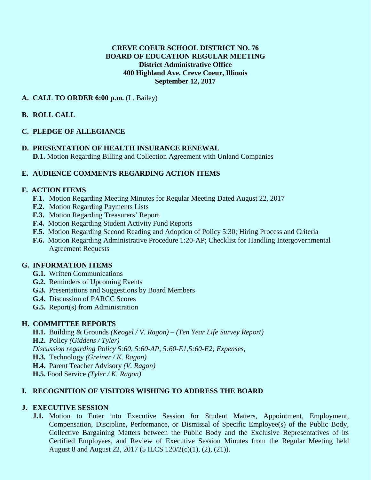#### **CREVE COEUR SCHOOL DISTRICT NO. 76 BOARD OF EDUCATION REGULAR MEETING District Administrative Office 400 Highland Ave. Creve Coeur, Illinois September 12, 2017**

### **A. CALL TO ORDER 6:00 p.m.** (L. Bailey)

# **B. ROLL CALL**

### **C. PLEDGE OF ALLEGIANCE**

**D. PRESENTATION OF HEALTH INSURANCE RENEWAL D.1.** Motion Regarding Billing and Collection Agreement with Unland Companies

# **E. AUDIENCE COMMENTS REGARDING ACTION ITEMS**

### **F. ACTION ITEMS**

- **F.1.** Motion Regarding Meeting Minutes for Regular Meeting Dated August 22, 2017
- **F.2.** Motion Regarding Payments Lists
- **F.3.** Motion Regarding Treasurers' Report
- **F.4.** Motion Regarding Student Activity Fund Reports
- **F.5.** Motion Regarding Second Reading and Adoption of Policy 5:30; Hiring Process and Criteria
- **F.6.** Motion Regarding Administrative Procedure 1:20-AP; Checklist for Handling Intergovernmental Agreement Requests

### **G. INFORMATION ITEMS**

- **G.1.** Written Communications
- **G.2.** Reminders of Upcoming Events
- **G.3.** Presentations and Suggestions by Board Members
- **G.4.** Discussion of PARCC Scores
- **G.5.** Report(s) from Administration

### **H. COMMITTEE REPORTS**

**H.1.** Building & Grounds *(Keogel / V. Ragon)* – *(Ten Year Life Survey Report)* **H.2.** Policy *(Giddens / Tyler) Discussion regarding Policy 5:60, 5:60-AP, 5:60-E1,5:60-E2; Expenses,*  **H.3.** Technology *(Greiner / K. Ragon)* **H.4.** Parent Teacher Advisory *(V. Ragon)* **H.5.** Food Service *(Tyler / K. Ragon)*

### **I. RECOGNITION OF VISITORS WISHING TO ADDRESS THE BOARD**

### **J. EXECUTIVE SESSION**

**J.1.** Motion to Enter into Executive Session for Student Matters, Appointment, Employment, Compensation, Discipline, Performance, or Dismissal of Specific Employee(s) of the Public Body, Collective Bargaining Matters between the Public Body and the Exclusive Representatives of its Certified Employees, and Review of Executive Session Minutes from the Regular Meeting held August 8 and August 22, 2017 (5 ILCS 120/2(c)(1), (2), (21)).